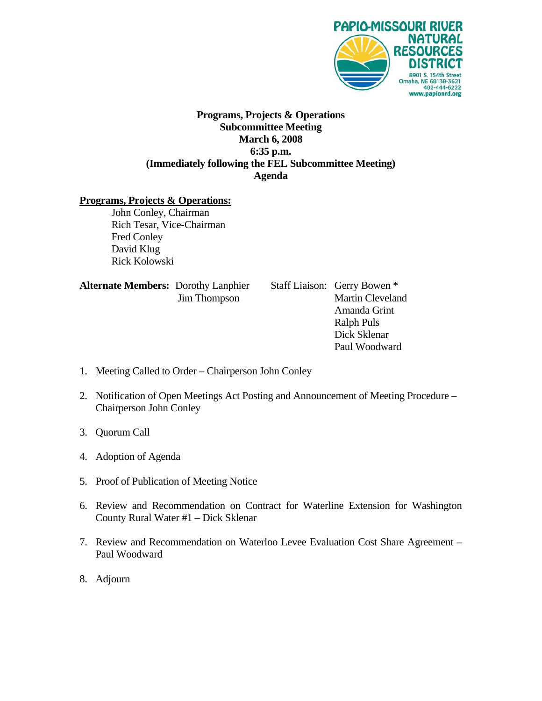

## **Programs, Projects & Operations Subcommittee Meeting March 6, 2008 6:35 p.m. (Immediately following the FEL Subcommittee Meeting) Agenda**

## **Programs, Projects & Operations:**

 John Conley, Chairman Rich Tesar, Vice-Chairman Fred Conley David Klug Rick Kolowski

| <b>Alternate Members: Dorothy Lanphier</b> |                     |
|--------------------------------------------|---------------------|
|                                            | <b>Jim Thompson</b> |

**Staff Liaison: Gerry Bowen \*** Martin Cleveland Amanda Grint Ralph Puls Dick Sklenar Paul Woodward

- 1. Meeting Called to Order Chairperson John Conley
- 2. Notification of Open Meetings Act Posting and Announcement of Meeting Procedure Chairperson John Conley
- 3. Quorum Call
- 4. Adoption of Agenda
- 5. Proof of Publication of Meeting Notice
- 6. Review and Recommendation on Contract for Waterline Extension for Washington County Rural Water #1 – Dick Sklenar
- 7. Review and Recommendation on Waterloo Levee Evaluation Cost Share Agreement Paul Woodward
- 8. Adjourn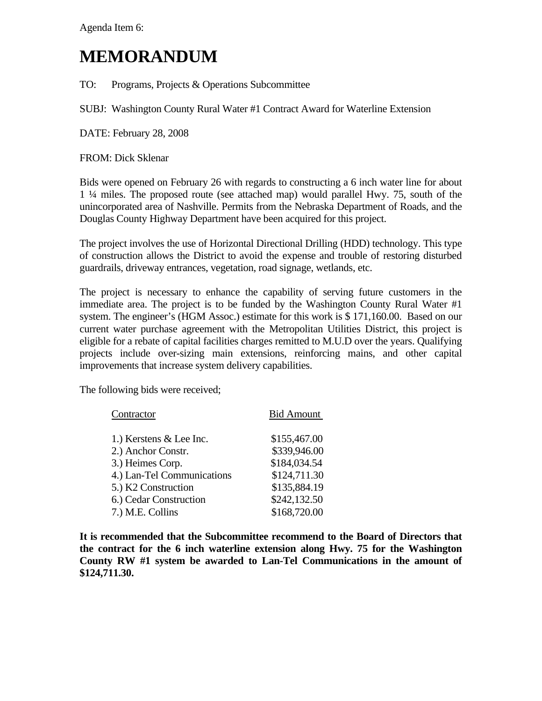Agenda Item 6:

## **MEMORANDUM**

TO: Programs, Projects & Operations Subcommittee

SUBJ: Washington County Rural Water #1 Contract Award for Waterline Extension

DATE: February 28, 2008

FROM: Dick Sklenar

Bids were opened on February 26 with regards to constructing a 6 inch water line for about 1 ¼ miles. The proposed route (see attached map) would parallel Hwy. 75, south of the unincorporated area of Nashville. Permits from the Nebraska Department of Roads, and the Douglas County Highway Department have been acquired for this project.

The project involves the use of Horizontal Directional Drilling (HDD) technology. This type of construction allows the District to avoid the expense and trouble of restoring disturbed guardrails, driveway entrances, vegetation, road signage, wetlands, etc.

The project is necessary to enhance the capability of serving future customers in the immediate area. The project is to be funded by the Washington County Rural Water #1 system. The engineer's (HGM Assoc.) estimate for this work is \$ 171,160.00. Based on our current water purchase agreement with the Metropolitan Utilities District, this project is eligible for a rebate of capital facilities charges remitted to M.U.D over the years. Qualifying projects include over-sizing main extensions, reinforcing mains, and other capital improvements that increase system delivery capabilities.

The following bids were received;

| Contractor                 | <b>Bid Amount</b> |
|----------------------------|-------------------|
|                            |                   |
| 1.) Kerstens & Lee Inc.    | \$155,467.00      |
| 2.) Anchor Constr.         | \$339,946.00      |
| 3.) Heimes Corp.           | \$184,034.54      |
| 4.) Lan-Tel Communications | \$124,711.30      |
| 5.) K2 Construction        | \$135,884.19      |
| 6.) Cedar Construction     | \$242,132.50      |
| 7.) M.E. Collins           | \$168,720.00      |

**It is recommended that the Subcommittee recommend to the Board of Directors that the contract for the 6 inch waterline extension along Hwy. 75 for the Washington County RW #1 system be awarded to Lan-Tel Communications in the amount of \$124,711.30.**